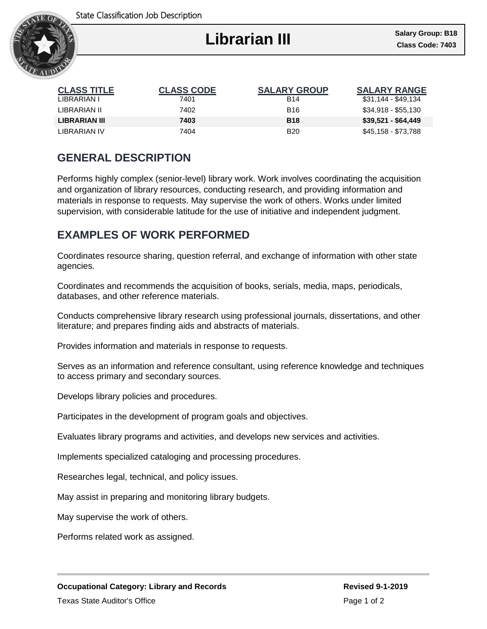

I

| <b>CLASS TITLE</b> | <b>CLASS CODE</b> | <b>SALARY GROUP</b> | <b>SALARY RANGE</b> |
|--------------------|-------------------|---------------------|---------------------|
| LIBRARIAN I        | 7401              | <b>B14</b>          | \$31,144 - \$49,134 |
| LIBRARIAN II       | 7402              | <b>B16</b>          | \$34,918 - \$55,130 |
| LIBRARIAN III      | 7403              | <b>B18</b>          | \$39,521 - \$64,449 |
| LIBRARIAN IV       | 7404              | <b>B20</b>          | \$45,158 - \$73,788 |

## **GENERAL DESCRIPTION**

Performs highly complex (senior-level) library work. Work involves coordinating the acquisition and organization of library resources, conducting research, and providing information and materials in response to requests. May supervise the work of others. Works under limited supervision, with considerable latitude for the use of initiative and independent judgment.

## **EXAMPLES OF WORK PERFORMED**

Coordinates resource sharing, question referral, and exchange of information with other state agencies.

Coordinates and recommends the acquisition of books, serials, media, maps, periodicals, databases, and other reference materials.

Conducts comprehensive library research using professional journals, dissertations, and other literature; and prepares finding aids and abstracts of materials.

Provides information and materials in response to requests.

Serves as an information and reference consultant, using reference knowledge and techniques to access primary and secondary sources.

Develops library policies and procedures.

Participates in the development of program goals and objectives.

Evaluates library programs and activities, and develops new services and activities.

Implements specialized cataloging and processing procedures.

Researches legal, technical, and policy issues.

May assist in preparing and monitoring library budgets.

May supervise the work of others.

Performs related work as assigned.